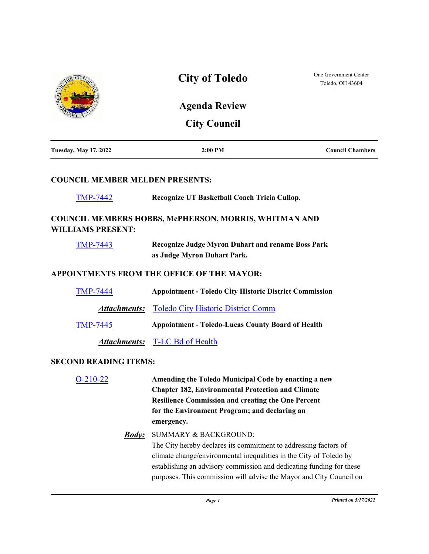|                                        | <b>City of Toledo</b>                                                                                                                                                                                                                                                                                                     | One Government Center<br>Toledo, OH 43604 |
|----------------------------------------|---------------------------------------------------------------------------------------------------------------------------------------------------------------------------------------------------------------------------------------------------------------------------------------------------------------------------|-------------------------------------------|
|                                        | <b>Agenda Review</b>                                                                                                                                                                                                                                                                                                      |                                           |
|                                        | <b>City Council</b>                                                                                                                                                                                                                                                                                                       |                                           |
| <b>Tuesday, May 17, 2022</b>           | $2:00$ PM                                                                                                                                                                                                                                                                                                                 | <b>Council Chambers</b>                   |
| <b>COUNCIL MEMBER MELDEN PRESENTS:</b> |                                                                                                                                                                                                                                                                                                                           |                                           |
| <b>TMP-7442</b>                        | Recognize UT Basketball Coach Tricia Cullop.                                                                                                                                                                                                                                                                              |                                           |
| <b>WILLIAMS PRESENT:</b>               | <b>COUNCIL MEMBERS HOBBS, McPHERSON, MORRIS, WHITMAN AND</b>                                                                                                                                                                                                                                                              |                                           |
| <b>TMP-7443</b>                        | <b>Recognize Judge Myron Duhart and rename Boss Park</b><br>as Judge Myron Duhart Park.                                                                                                                                                                                                                                   |                                           |
|                                        | APPOINTMENTS FROM THE OFFICE OF THE MAYOR:                                                                                                                                                                                                                                                                                |                                           |
| <b>TMP-7444</b>                        | <b>Appointment - Toledo City Historic District Commission</b>                                                                                                                                                                                                                                                             |                                           |
|                                        | <b>Attachments:</b> Toledo City Historic District Comm                                                                                                                                                                                                                                                                    |                                           |
| <b>TMP-7445</b>                        | <b>Appointment - Toledo-Lucas County Board of Health</b>                                                                                                                                                                                                                                                                  |                                           |
|                                        | <b>Attachments:</b> T-LC Bd of Health                                                                                                                                                                                                                                                                                     |                                           |
| <b>SECOND READING ITEMS:</b>           |                                                                                                                                                                                                                                                                                                                           |                                           |
| $O-210-22$                             | Amending the Toledo Municipal Code by enacting a new<br><b>Chapter 182, Environmental Protection and Climate</b><br><b>Resilience Commission and creating the One Percent</b><br>for the Environment Program; and declaring an<br>emergency.                                                                              |                                           |
| <u><b>Body:</b></u>                    | <b>SUMMARY &amp; BACKGROUND:</b><br>The City hereby declares its commitment to addressing factors of<br>climate change/environmental inequalities in the City of Toledo by<br>establishing an advisory commission and dedicating funding for these<br>purposes. This commission will advise the Mayor and City Council on |                                           |
|                                        | Page 1                                                                                                                                                                                                                                                                                                                    | Printed on 5/17/2022                      |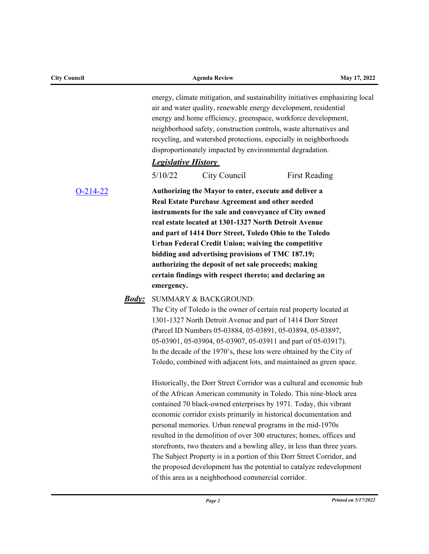| <b>City Council</b> |                     | <b>Agenda Review</b>                                                                                                                                                                                                                                                                                                                                                                                                                                                                                                                                                                                                                                                                                               | May 17, 2022 |
|---------------------|---------------------|--------------------------------------------------------------------------------------------------------------------------------------------------------------------------------------------------------------------------------------------------------------------------------------------------------------------------------------------------------------------------------------------------------------------------------------------------------------------------------------------------------------------------------------------------------------------------------------------------------------------------------------------------------------------------------------------------------------------|--------------|
|                     |                     | energy, climate mitigation, and sustainability initiatives emphasizing local<br>air and water quality, renewable energy development, residential<br>energy and home efficiency, greenspace, workforce development,<br>neighborhood safety, construction controls, waste alternatives and<br>recycling, and watershed protections, especially in neighborhoods<br>disproportionately impacted by environmental degradation.                                                                                                                                                                                                                                                                                         |              |
|                     |                     | <b>Legislative History</b>                                                                                                                                                                                                                                                                                                                                                                                                                                                                                                                                                                                                                                                                                         |              |
|                     |                     | 5/10/22<br>City Council<br>First Reading                                                                                                                                                                                                                                                                                                                                                                                                                                                                                                                                                                                                                                                                           |              |
| $O-214-22$          |                     | Authorizing the Mayor to enter, execute and deliver a<br>Real Estate Purchase Agreement and other needed<br>instruments for the sale and conveyance of City owned<br>real estate located at 1301-1327 North Detroit Avenue<br>and part of 1414 Dorr Street, Toledo Ohio to the Toledo<br>Urban Federal Credit Union; waiving the competitive<br>bidding and advertising provisions of TMC 187.19;<br>authorizing the deposit of net sale proceeds; making<br>certain findings with respect thereto; and declaring an<br>emergency.                                                                                                                                                                                 |              |
|                     | <u><b>Body:</b></u> | SUMMARY & BACKGROUND:<br>The City of Toledo is the owner of certain real property located at<br>1301-1327 North Detroit Avenue and part of 1414 Dorr Street<br>(Parcel ID Numbers 05-03884, 05-03891, 05-03894, 05-03897,<br>05-03901, 05-03904, 05-03907, 05-03911 and part of 05-03917).<br>In the decade of the 1970's, these lots were obtained by the City of<br>Toledo, combined with adjacent lots, and maintained as green space.                                                                                                                                                                                                                                                                          |              |
|                     |                     | Historically, the Dorr Street Corridor was a cultural and economic hub<br>of the African American community in Toledo. This nine-block area<br>contained 70 black-owned enterprises by 1971. Today, this vibrant<br>economic corridor exists primarily in historical documentation and<br>personal memories. Urban renewal programs in the mid-1970s<br>resulted in the demolition of over 300 structures; homes, offices and<br>storefronts, two theaters and a bowling alley, in less than three years.<br>The Subject Property is in a portion of this Dorr Street Corridor, and<br>the proposed development has the potential to catalyze redevelopment<br>of this area as a neighborhood commercial corridor. |              |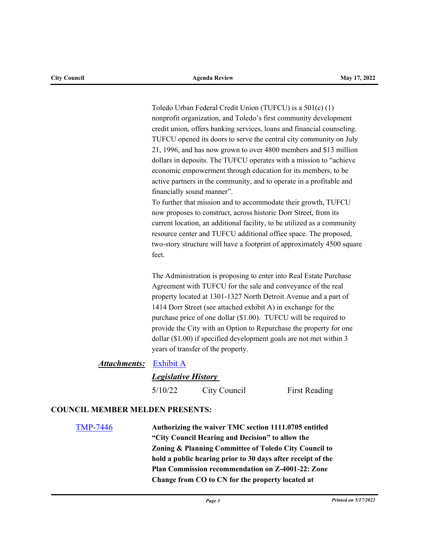Toledo Urban Federal Credit Union (TUFCU) is a 501(c) (1) nonprofit organization, and Toledo's first community development credit union, offers banking services, loans and financial counseling. TUFCU opened its doors to serve the central city community on July 21, 1996, and has now grown to over 4800 members and \$13 million dollars in deposits. The TUFCU operates with a mission to "achieve economic empowerment through education for its members, to be active partners in the community, and to operate in a profitable and financially sound manner".

To further that mission and to accommodate their growth, TUFCU now proposes to construct, across historic Dorr Street, from its current location, an additional facility, to be utilized as a community resource center and TUFCU additional office space. The proposed, two-story structure will have a footprint of approximately 4500 square feet.

The Administration is proposing to enter into Real Estate Purchase Agreement with TUFCU for the sale and conveyance of the real property located at 1301-1327 North Detroit Avenue and a part of 1414 Dorr Street (see attached exhibit A) in exchange for the purchase price of one dollar (\$1.00). TUFCU will be required to provide the City with an Option to Repurchase the property for one dollar (\$1.00) if specified development goals are not met within 3 years of transfer of the property.

# *Attachments:* [Exhibit A](http://toledo.legistar.com/gateway.aspx?M=F&ID=15106a5f-a0e4-4e03-933c-ca0ebb91db77.docx)

# *Legislative History*

5/10/22 City Council First Reading

# **COUNCIL MEMBER MELDEN PRESENTS:**

[TMP-7446](http://toledo.legistar.com/gateway.aspx?m=l&id=/matter.aspx?key=37765) **Authorizing the waiver TMC section 1111.0705 entitled "City Council Hearing and Decision" to allow the Zoning & Planning Committee of Toledo City Council to hold a public hearing prior to 30 days after receipt of the Plan Commission recommendation on Z-4001-22: Zone Change from CO to CN for the property located at**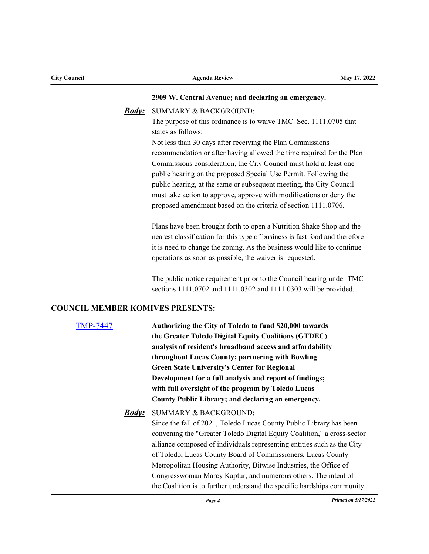| <b>City Council</b>                     | <b>Agenda Review</b>                                                                                                                    | May 17, 2022 |
|-----------------------------------------|-----------------------------------------------------------------------------------------------------------------------------------------|--------------|
|                                         | 2909 W. Central Avenue; and declaring an emergency.                                                                                     |              |
| <b>Body:</b>                            | <b>SUMMARY &amp; BACKGROUND:</b>                                                                                                        |              |
|                                         | The purpose of this ordinance is to waive TMC. Sec. 1111.0705 that                                                                      |              |
|                                         | states as follows:                                                                                                                      |              |
|                                         | Not less than 30 days after receiving the Plan Commissions                                                                              |              |
|                                         | recommendation or after having allowed the time required for the Plan                                                                   |              |
|                                         | Commissions consideration, the City Council must hold at least one                                                                      |              |
|                                         | public hearing on the proposed Special Use Permit. Following the                                                                        |              |
|                                         | public hearing, at the same or subsequent meeting, the City Council                                                                     |              |
|                                         | must take action to approve, approve with modifications or deny the                                                                     |              |
|                                         | proposed amendment based on the criteria of section 1111.0706.                                                                          |              |
|                                         | Plans have been brought forth to open a Nutrition Shake Shop and the                                                                    |              |
|                                         | nearest classification for this type of business is fast food and therefore                                                             |              |
|                                         | it is need to change the zoning. As the business would like to continue                                                                 |              |
|                                         | operations as soon as possible, the waiver is requested.                                                                                |              |
|                                         | The public notice requirement prior to the Council hearing under TMC                                                                    |              |
|                                         | sections 1111.0702 and 1111.0302 and 1111.0303 will be provided.                                                                        |              |
| <b>COUNCIL MEMBER KOMIVES PRESENTS:</b> |                                                                                                                                         |              |
| <b>TMP-7447</b>                         | Authorizing the City of Toledo to fund \$20,000 towards                                                                                 |              |
|                                         | the Greater Toledo Digital Equity Coalitions (GTDEC)                                                                                    |              |
|                                         | analysis of resident's broadband access and affordability                                                                               |              |
|                                         | throughout Lucas County; partnering with Bowling                                                                                        |              |
|                                         | <b>Green State University's Center for Regional</b>                                                                                     |              |
|                                         | Development for a full analysis and report of findings;                                                                                 |              |
|                                         | with full oversight of the program by Toledo Lucas                                                                                      |              |
|                                         | County Public Library; and declaring an emergency.                                                                                      |              |
| <u><i>Body:</i></u>                     | SUMMARY & BACKGROUND:                                                                                                                   |              |
|                                         | Since the fall of 2021, Toledo Lucas County Public Library has been                                                                     |              |
|                                         | convening the "Greater Toledo Digital Equity Coalition," a cross-sector                                                                 |              |
|                                         | alliance composed of individuals representing entities such as the City<br>of Toledo, Lucas County Board of Commissioners, Lucas County |              |
|                                         | Metropolitan Housing Authority, Bitwise Industries, the Office of                                                                       |              |
|                                         | Congresswoman Marcy Kaptur, and numerous others. The intent of                                                                          |              |
|                                         | the Coalition is to further understand the specific hardships community                                                                 |              |
|                                         |                                                                                                                                         |              |

*Page 4 Printed on 5/17/2022*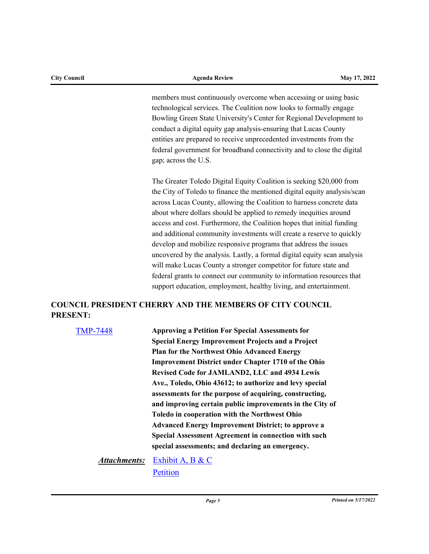members must continuously overcome when accessing or using basic technological services. The Coalition now looks to formally engage Bowling Green State University's Center for Regional Development to conduct a digital equity gap analysis-ensuring that Lucas County entities are prepared to receive unprecedented investments from the federal government for broadband connectivity and to close the digital gap; across the U.S.

The Greater Toledo Digital Equity Coalition is seeking \$20,000 from the City of Toledo to finance the mentioned digital equity analysis/scan across Lucas County, allowing the Coalition to harness concrete data about where dollars should be applied to remedy inequities around access and cost. Furthermore, the Coalition hopes that initial funding and additional community investments will create a reserve to quickly develop and mobilize responsive programs that address the issues uncovered by the analysis. Lastly, a formal digital equity scan analysis will make Lucas County a stronger competitor for future state and federal grants to connect our community to information resources that support education, employment, healthy living, and entertainment.

# **COUNCIL PRESIDENT CHERRY AND THE MEMBERS OF CITY COUNCIL PRESENT:**

| <b>TMP-7448</b> | <b>Approving a Petition For Special Assessments for</b>     |
|-----------------|-------------------------------------------------------------|
|                 | <b>Special Energy Improvement Projects and a Project</b>    |
|                 | <b>Plan for the Northwest Ohio Advanced Energy</b>          |
|                 | <b>Improvement District under Chapter 1710 of the Ohio</b>  |
|                 | Revised Code for JAMLAND2, LLC and 4934 Lewis               |
|                 | Ave., Toledo, Ohio 43612; to authorize and levy special     |
|                 | assessments for the purpose of acquiring, constructing,     |
|                 | and improving certain public improvements in the City of    |
|                 | <b>Toledo in cooperation with the Northwest Ohio</b>        |
|                 | <b>Advanced Energy Improvement District; to approve a</b>   |
|                 | <b>Special Assessment Agreement in connection with such</b> |
|                 | special assessments; and declaring an emergency.            |
|                 |                                                             |

[Exhibit A, B & C](http://toledo.legistar.com/gateway.aspx?M=F&ID=6f4e80ff-f193-478b-9e3d-e6bc4fb59c03.docx) **[Petition](http://toledo.legistar.com/gateway.aspx?M=F&ID=ea301876-e652-4071-ab34-08e2f7761f79.pdf)** *Attachments:*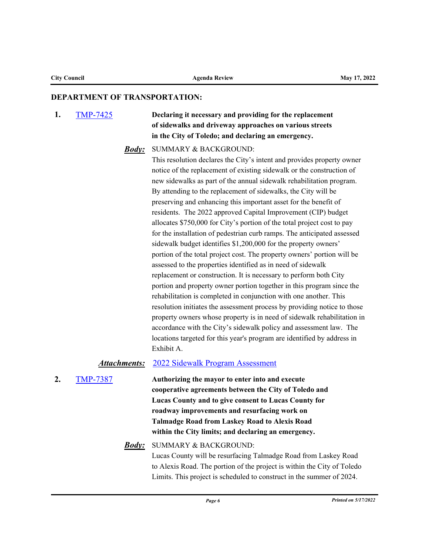#### **DEPARTMENT OF TRANSPORTATION:**

**1.** [TMP-7425](http://toledo.legistar.com/gateway.aspx?m=l&id=/matter.aspx?key=37738) **Declaring it necessary and providing for the replacement of sidewalks and driveway approaches on various streets in the City of Toledo; and declaring an emergency.**

### SUMMARY & BACKGROUND: *Body:*

This resolution declares the City's intent and provides property owner notice of the replacement of existing sidewalk or the construction of new sidewalks as part of the annual sidewalk rehabilitation program. By attending to the replacement of sidewalks, the City will be preserving and enhancing this important asset for the benefit of residents. The 2022 approved Capital Improvement (CIP) budget allocates \$750,000 for City's portion of the total project cost to pay for the installation of pedestrian curb ramps. The anticipated assessed sidewalk budget identifies \$1,200,000 for the property owners' portion of the total project cost. The property owners' portion will be assessed to the properties identified as in need of sidewalk replacement or construction. It is necessary to perform both City portion and property owner portion together in this program since the rehabilitation is completed in conjunction with one another. This resolution initiates the assessment process by providing notice to those property owners whose property is in need of sidewalk rehabilitation in accordance with the City's sidewalk policy and assessment law. The locations targeted for this year's program are identified by address in Exhibit A.

#### *Attachments:* [2022 Sidewalk Program Assessment](http://toledo.legistar.com/gateway.aspx?M=F&ID=c6cdefc6-b8a5-47ab-a7fd-dfea737213fc.xlsx)

**2.** [TMP-7387](http://toledo.legistar.com/gateway.aspx?m=l&id=/matter.aspx?key=37699) **Authorizing the mayor to enter into and execute cooperative agreements between the City of Toledo and Lucas County and to give consent to Lucas County for roadway improvements and resurfacing work on Talmadge Road from Laskey Road to Alexis Road within the City limits; and declaring an emergency.**

# SUMMARY & BACKGROUND: *Body:*

Lucas County will be resurfacing Talmadge Road from Laskey Road to Alexis Road. The portion of the project is within the City of Toledo Limits. This project is scheduled to construct in the summer of 2024.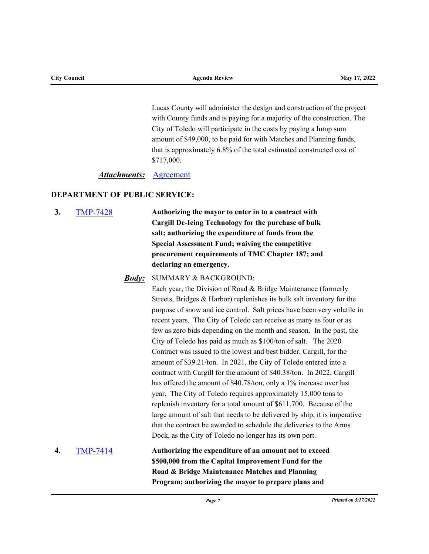Lucas County will administer the design and construction of the project with County funds and is paying for a majority of the construction. The City of Toledo will participate in the costs by paying a lump sum amount of \$49,000, to be paid for with Matches and Planning funds, that is approximately 6.8% of the total estimated constructed cost of \$717,000.

#### *Attachments:* [Agreement](http://toledo.legistar.com/gateway.aspx?M=F&ID=91ffaeda-895e-472f-9a1b-cb98bd85c73a.pdf)

### **DEPARTMENT OF PUBLIC SERVICE:**

**3.** [TMP-7428](http://toledo.legistar.com/gateway.aspx?m=l&id=/matter.aspx?key=37741) **Authorizing the mayor to enter in to a contract with Cargill De-Icing Technology for the purchase of bulk salt; authorizing the expenditure of funds from the Special Assessment Fund; waiving the competitive procurement requirements of TMC Chapter 187; and declaring an emergency.**

### SUMMARY & BACKGROUND: *Body:*

Each year, the Division of Road & Bridge Maintenance (formerly Streets, Bridges & Harbor) replenishes its bulk salt inventory for the purpose of snow and ice control. Salt prices have been very volatile in recent years. The City of Toledo can receive as many as four or as few as zero bids depending on the month and season. In the past, the City of Toledo has paid as much as \$100/ton of salt. The 2020 Contract was issued to the lowest and best bidder, Cargill, for the amount of \$39.21/ton. In 2021, the City of Toledo entered into a contract with Cargill for the amount of \$40.38/ton. In 2022, Cargill has offered the amount of \$40.78/ton, only a 1% increase over last year. The City of Toledo requires approximately 15,000 tons to replenish inventory for a total amount of \$611,700. Because of the large amount of salt that needs to be delivered by ship, it is imperative that the contract be awarded to schedule the deliveries to the Arms Dock, as the City of Toledo no longer has its own port.

# **4.** [TMP-7414](http://toledo.legistar.com/gateway.aspx?m=l&id=/matter.aspx?key=37727) **Authorizing the expenditure of an amount not to exceed \$500,000 from the Capital Improvement Fund for the Road & Bridge Maintenance Matches and Planning Program; authorizing the mayor to prepare plans and**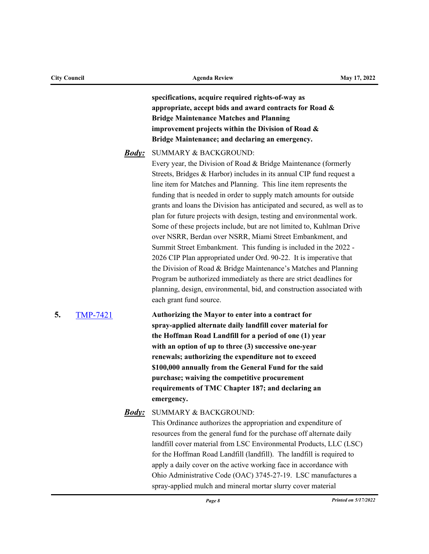| <b>City Council</b> |                 | <b>Agenda Review</b> |                                                                                                                                                                                                                                                                                                                                                                                                                                                                                                                                                                                                                                                                                                                                                                                                                                                                                                                                                                                                              | May 17, 2022 |  |
|---------------------|-----------------|----------------------|--------------------------------------------------------------------------------------------------------------------------------------------------------------------------------------------------------------------------------------------------------------------------------------------------------------------------------------------------------------------------------------------------------------------------------------------------------------------------------------------------------------------------------------------------------------------------------------------------------------------------------------------------------------------------------------------------------------------------------------------------------------------------------------------------------------------------------------------------------------------------------------------------------------------------------------------------------------------------------------------------------------|--------------|--|
|                     |                 |                      | specifications, acquire required rights-of-way as<br>appropriate, accept bids and award contracts for Road &<br><b>Bridge Maintenance Matches and Planning</b><br>improvement projects within the Division of Road &<br>Bridge Maintenance; and declaring an emergency.                                                                                                                                                                                                                                                                                                                                                                                                                                                                                                                                                                                                                                                                                                                                      |              |  |
|                     |                 | <b>Body</b> :        | <b>SUMMARY &amp; BACKGROUND:</b><br>Every year, the Division of Road & Bridge Maintenance (formerly<br>Streets, Bridges & Harbor) includes in its annual CIP fund request a<br>line item for Matches and Planning. This line item represents the<br>funding that is needed in order to supply match amounts for outside<br>grants and loans the Division has anticipated and secured, as well as to<br>plan for future projects with design, testing and environmental work.<br>Some of these projects include, but are not limited to, Kuhlman Drive<br>over NSRR, Berdan over NSRR, Miami Street Embankment, and<br>Summit Street Embankment. This funding is included in the 2022 -<br>2026 CIP Plan appropriated under Ord. 90-22. It is imperative that<br>the Division of Road & Bridge Maintenance's Matches and Planning<br>Program be authorized immediately as there are strict deadlines for<br>planning, design, environmental, bid, and construction associated with<br>each grant fund source. |              |  |
| 5.                  | <b>TMP-7421</b> |                      | Authorizing the Mayor to enter into a contract for<br>spray-applied alternate daily landfill cover material for<br>the Hoffman Road Landfill for a period of one (1) year<br>with an option of up to three (3) successive one-year<br>renewals; authorizing the expenditure not to exceed<br>\$100,000 annually from the General Fund for the said<br>purchase; waiving the competitive procurement<br>requirements of TMC Chapter 187; and declaring an<br>emergency.                                                                                                                                                                                                                                                                                                                                                                                                                                                                                                                                       |              |  |
|                     |                 | <u>Body:</u>         | <b>SUMMARY &amp; BACKGROUND:</b><br>This Ordinance authorizes the appropriation and expenditure of<br>resources from the general fund for the purchase off alternate daily<br>landfill cover material from LSC Environmental Products, LLC (LSC)<br>for the Hoffman Road Landfill (landfill). The landfill is required to<br>apply a daily cover on the active working face in accordance with<br>Ohio Administrative Code (OAC) 3745-27-19. LSC manufactures a<br>spray-applied mulch and mineral mortar slurry cover material                                                                                                                                                                                                                                                                                                                                                                                                                                                                              |              |  |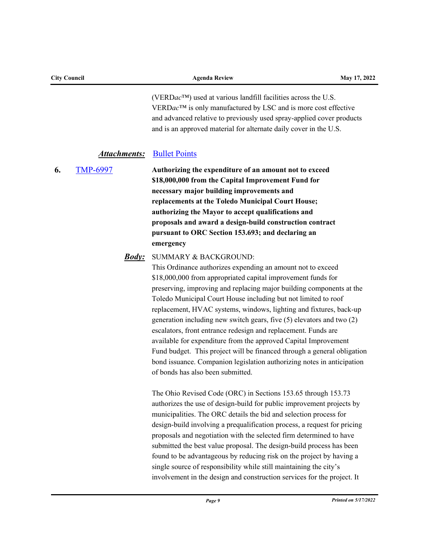|    |                                        | Page 9                                                                                                                                                                                                                                                                                                                                                                                                                                                                                                                                                                                                                                                                                                                                                                                  | Printed on 5/17/2022 |
|----|----------------------------------------|-----------------------------------------------------------------------------------------------------------------------------------------------------------------------------------------------------------------------------------------------------------------------------------------------------------------------------------------------------------------------------------------------------------------------------------------------------------------------------------------------------------------------------------------------------------------------------------------------------------------------------------------------------------------------------------------------------------------------------------------------------------------------------------------|----------------------|
|    |                                        | The Ohio Revised Code (ORC) in Sections 153.65 through 153.73<br>authorizes the use of design-build for public improvement projects by<br>municipalities. The ORC details the bid and selection process for<br>design-build involving a prequalification process, a request for pricing<br>proposals and negotiation with the selected firm determined to have<br>submitted the best value proposal. The design-build process has been<br>found to be advantageous by reducing risk on the project by having a<br>single source of responsibility while still maintaining the city's<br>involvement in the design and construction services for the project. It                                                                                                                         |                      |
|    | <b>Body</b> :                          | <b>SUMMARY &amp; BACKGROUND:</b><br>This Ordinance authorizes expending an amount not to exceed<br>\$18,000,000 from appropriated capital improvement funds for<br>preserving, improving and replacing major building components at the<br>Toledo Municipal Court House including but not limited to roof<br>replacement, HVAC systems, windows, lighting and fixtures, back-up<br>generation including new switch gears, five (5) elevators and two (2)<br>escalators, front entrance redesign and replacement. Funds are<br>available for expenditure from the approved Capital Improvement<br>Fund budget. This project will be financed through a general obligation<br>bond issuance. Companion legislation authorizing notes in anticipation<br>of bonds has also been submitted. |                      |
| 6. | <b>Attachments:</b><br><b>TMP-6997</b> | and is an approved material for alternate daily cover in the U.S.<br><b>Bullet Points</b><br>Authorizing the expenditure of an amount not to exceed<br>\$18,000,000 from the Capital Improvement Fund for<br>necessary major building improvements and<br>replacements at the Toledo Municipal Court House;<br>authorizing the Mayor to accept qualifications and<br>proposals and award a design-build construction contract<br>pursuant to ORC Section 153.693; and declaring an<br>emergency                                                                                                                                                                                                                                                                                         |                      |
|    |                                        | (VERDac <sup>TM</sup> ) used at various landfill facilities across the U.S.<br>VERDac <sup>TM</sup> is only manufactured by LSC and is more cost effective<br>and advanced relative to previously used spray-applied cover products                                                                                                                                                                                                                                                                                                                                                                                                                                                                                                                                                     |                      |

**City Council Agenda Review May 17, 2022**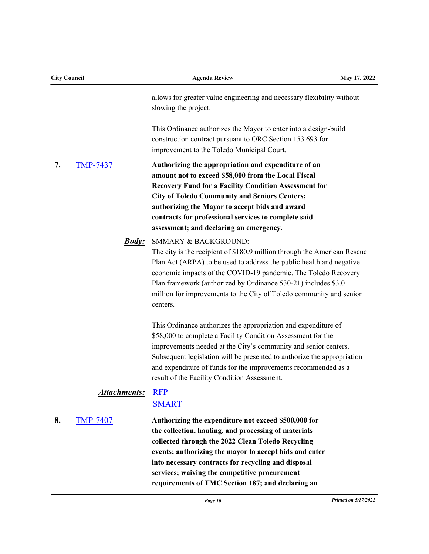| <b>City Council</b> |                     | <b>Agenda Review</b>                                                                                                                                                                                                                                                                                                                                                                            | May 17, 2022 |
|---------------------|---------------------|-------------------------------------------------------------------------------------------------------------------------------------------------------------------------------------------------------------------------------------------------------------------------------------------------------------------------------------------------------------------------------------------------|--------------|
|                     |                     | allows for greater value engineering and necessary flexibility without<br>slowing the project.                                                                                                                                                                                                                                                                                                  |              |
|                     |                     | This Ordinance authorizes the Mayor to enter into a design-build<br>construction contract pursuant to ORC Section 153.693 for<br>improvement to the Toledo Municipal Court.                                                                                                                                                                                                                     |              |
| 7.                  | <b>TMP-7437</b>     | Authorizing the appropriation and expenditure of an<br>amount not to exceed \$58,000 from the Local Fiscal<br><b>Recovery Fund for a Facility Condition Assessment for</b><br><b>City of Toledo Community and Seniors Centers;</b><br>authorizing the Mayor to accept bids and award<br>contracts for professional services to complete said<br>assessment; and declaring an emergency.         |              |
|                     | <u><b>Body:</b></u> | SMMARY & BACKGROUND:<br>The city is the recipient of \$180.9 million through the American Rescue<br>Plan Act (ARPA) to be used to address the public health and negative<br>economic impacts of the COVID-19 pandemic. The Toledo Recovery<br>Plan framework (authorized by Ordinance 530-21) includes \$3.0<br>million for improvements to the City of Toledo community and senior<br>centers. |              |
|                     |                     | This Ordinance authorizes the appropriation and expenditure of<br>\$58,000 to complete a Facility Condition Assessment for the<br>improvements needed at the City's community and senior centers.<br>Subsequent legislation will be presented to authorize the appropriation<br>and expenditure of funds for the improvements recommended as a<br>result of the Facility Condition Assessment.  |              |
|                     | <u>Attachments:</u> | <b>RFP</b><br><b>SMART</b>                                                                                                                                                                                                                                                                                                                                                                      |              |
| 8.                  | <b>TMP-7407</b>     | Authorizing the expenditure not exceed \$500,000 for<br>the collection, hauling, and processing of materials<br>collected through the 2022 Clean Toledo Recycling<br>events; authorizing the mayor to accept bids and enter<br>into necessary contracts for recycling and disposal<br>services; waiving the competitive procurement<br>requirements of TMC Section 187; and declaring an        |              |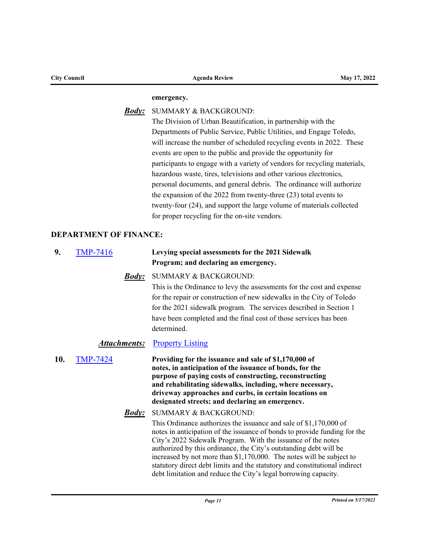| <b>City Council</b> |              | <b>Agenda Review</b>                                                      | May 17, 2022 |
|---------------------|--------------|---------------------------------------------------------------------------|--------------|
|                     |              | emergency.                                                                |              |
|                     | <b>Body:</b> | <b>SUMMARY &amp; BACKGROUND:</b>                                          |              |
|                     |              | The Division of Urban Beautification, in partnership with the             |              |
|                     |              | Departments of Public Service, Public Utilities, and Engage Toledo,       |              |
|                     |              | will increase the number of scheduled recycling events in 2022. These     |              |
|                     |              | events are open to the public and provide the opportunity for             |              |
|                     |              | participants to engage with a variety of vendors for recycling materials, |              |
|                     |              | hazardous waste, tires, televisions and other various electronics,        |              |
|                     |              | personal documents, and general debris. The ordinance will authorize      |              |
|                     |              |                                                                           |              |

the expansion of the 2022 from twenty-three (23) total events to twenty-four (24), and support the large volume of materials collected for proper recycling for the on-site vendors.

# **DEPARTMENT OF FINANCE:**

| 9.  | <b>TMP-7416</b>     | Levying special assessments for the 2021 Sidewalk<br>Program; and declaring an emergency.                                                                                                                                                                                                                                                                                                                                                                                                                    |
|-----|---------------------|--------------------------------------------------------------------------------------------------------------------------------------------------------------------------------------------------------------------------------------------------------------------------------------------------------------------------------------------------------------------------------------------------------------------------------------------------------------------------------------------------------------|
|     | <u>Body:</u>        | <b>SUMMARY &amp; BACKGROUND:</b><br>This is the Ordinance to levy the assessments for the cost and expense<br>for the repair or construction of new sidewalks in the City of Toledo<br>for the 2021 sidewalk program. The services described in Section 1<br>have been completed and the final cost of those services has been<br>determined.                                                                                                                                                                |
|     | <u>Attachments:</u> | <b>Property Listing</b>                                                                                                                                                                                                                                                                                                                                                                                                                                                                                      |
| 10. | <b>TMP-7424</b>     | Providing for the issuance and sale of \$1,170,000 of<br>notes, in anticipation of the issuance of bonds, for the<br>purpose of paying costs of constructing, reconstructing<br>and rehabilitating sidewalks, including, where necessary,<br>driveway approaches and curbs, in certain locations on<br>designated streets; and declaring an emergency.                                                                                                                                                       |
|     | <u>Body:</u>        | <b>SUMMARY &amp; BACKGROUND:</b>                                                                                                                                                                                                                                                                                                                                                                                                                                                                             |
|     |                     | This Ordinance authorizes the issuance and sale of \$1,170,000 of<br>notes in anticipation of the issuance of bonds to provide funding for the<br>City's 2022 Sidewalk Program. With the issuance of the notes<br>authorized by this ordinance, the City's outstanding debt will be<br>increased by not more than \$1,170,000. The notes will be subject to<br>statutory direct debt limits and the statutory and constitutional indirect<br>debt limitation and reduce the City's legal borrowing capacity. |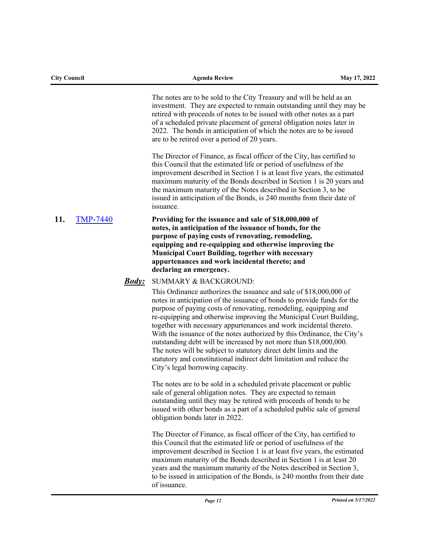| <b>City Council</b> |                 |               | <b>Agenda Review</b>                                                                                                                                                                                                                                                                                                                                                                                                                                                                                                                                                                                                                                                                           | May 17, 2022 |
|---------------------|-----------------|---------------|------------------------------------------------------------------------------------------------------------------------------------------------------------------------------------------------------------------------------------------------------------------------------------------------------------------------------------------------------------------------------------------------------------------------------------------------------------------------------------------------------------------------------------------------------------------------------------------------------------------------------------------------------------------------------------------------|--------------|
|                     |                 |               | The notes are to be sold to the City Treasury and will be held as an<br>investment. They are expected to remain outstanding until they may be<br>retired with proceeds of notes to be issued with other notes as a part<br>of a scheduled private placement of general obligation notes later in<br>2022. The bonds in anticipation of which the notes are to be issued<br>are to be retired over a period of 20 years.                                                                                                                                                                                                                                                                        |              |
|                     |                 |               | The Director of Finance, as fiscal officer of the City, has certified to<br>this Council that the estimated life or period of usefulness of the<br>improvement described in Section 1 is at least five years, the estimated<br>maximum maturity of the Bonds described in Section 1 is 20 years and<br>the maximum maturity of the Notes described in Section 3, to be<br>issued in anticipation of the Bonds, is 240 months from their date of<br>issuance.                                                                                                                                                                                                                                   |              |
| 11.                 | <b>TMP-7440</b> |               | Providing for the issuance and sale of \$18,000,000 of<br>notes, in anticipation of the issuance of bonds, for the<br>purpose of paying costs of renovating, remodeling,<br>equipping and re-equipping and otherwise improving the<br><b>Municipal Court Building, together with necessary</b><br>appurtenances and work incidental thereto; and<br>declaring an emergency.                                                                                                                                                                                                                                                                                                                    |              |
|                     |                 | <b>Body</b> : | <b>SUMMARY &amp; BACKGROUND:</b>                                                                                                                                                                                                                                                                                                                                                                                                                                                                                                                                                                                                                                                               |              |
|                     |                 |               | This Ordinance authorizes the issuance and sale of \$18,000,000 of<br>notes in anticipation of the issuance of bonds to provide funds for the<br>purpose of paying costs of renovating, remodeling, equipping and<br>re-equipping and otherwise improving the Municipal Court Building,<br>together with necessary appurtenances and work incidental thereto.<br>With the issuance of the notes authorized by this Ordinance, the City's<br>outstanding debt will be increased by not more than \$18,000,000.<br>The notes will be subject to statutory direct debt limits and the<br>statutory and constitutional indirect debt limitation and reduce the<br>City's legal borrowing capacity. |              |
|                     |                 |               | The notes are to be sold in a scheduled private placement or public<br>sale of general obligation notes. They are expected to remain<br>outstanding until they may be retired with proceeds of bonds to be<br>issued with other bonds as a part of a scheduled public sale of general<br>obligation bonds later in 2022.                                                                                                                                                                                                                                                                                                                                                                       |              |
|                     |                 |               | The Director of Finance, as fiscal officer of the City, has certified to<br>this Council that the estimated life or period of usefulness of the<br>improvement described in Section 1 is at least five years, the estimated<br>maximum maturity of the Bonds described in Section 1 is at least 20<br>years and the maximum maturity of the Notes described in Section 3,<br>to be issued in anticipation of the Bonds, is 240 months from their date<br>of issuance.                                                                                                                                                                                                                          |              |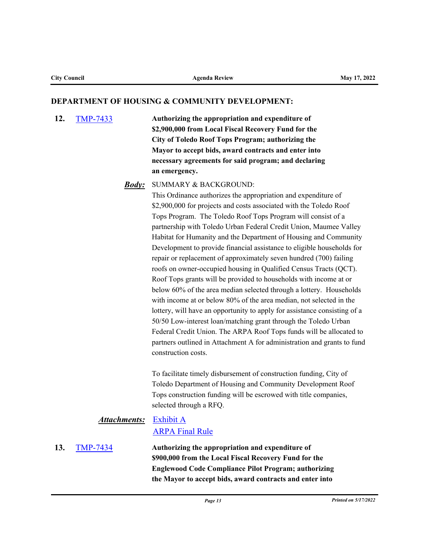#### **DEPARTMENT OF HOUSING & COMMUNITY DEVELOPMENT:**

**12.** [TMP-7433](http://toledo.legistar.com/gateway.aspx?m=l&id=/matter.aspx?key=37746) **Authorizing the appropriation and expenditure of \$2,900,000 from Local Fiscal Recovery Fund for the City of Toledo Roof Tops Program; authorizing the Mayor to accept bids, award contracts and enter into necessary agreements for said program; and declaring an emergency.** 

### SUMMARY & BACKGROUND: *Body:*

This Ordinance authorizes the appropriation and expenditure of \$2,900,000 for projects and costs associated with the Toledo Roof Tops Program. The Toledo Roof Tops Program will consist of a partnership with Toledo Urban Federal Credit Union, Maumee Valley Habitat for Humanity and the Department of Housing and Community Development to provide financial assistance to eligible households for repair or replacement of approximately seven hundred (700) failing roofs on owner-occupied housing in Qualified Census Tracts (QCT). Roof Tops grants will be provided to households with income at or below 60% of the area median selected through a lottery. Households with income at or below 80% of the area median, not selected in the lottery, will have an opportunity to apply for assistance consisting of a 50/50 Low-interest loan/matching grant through the Toledo Urban Federal Credit Union. The ARPA Roof Tops funds will be allocated to partners outlined in Attachment A for administration and grants to fund construction costs.

To facilitate timely disbursement of construction funding, City of Toledo Department of Housing and Community Development Roof Tops construction funding will be escrowed with title companies, selected through a RFQ.

# **Attachments:** [Exhibit A](http://toledo.legistar.com/gateway.aspx?M=F&ID=7b412386-7db2-45ba-bbb8-858c4496013b.docx) [ARPA Final Rule](http://toledo.legistar.com/gateway.aspx?M=F&ID=789a6597-4afa-440f-ac81-b9d4cc99bfcf.pdf)

**13.** [TMP-7434](http://toledo.legistar.com/gateway.aspx?m=l&id=/matter.aspx?key=37747) **Authorizing the appropriation and expenditure of \$900,000 from the Local Fiscal Recovery Fund for the Englewood Code Compliance Pilot Program; authorizing the Mayor to accept bids, award contracts and enter into**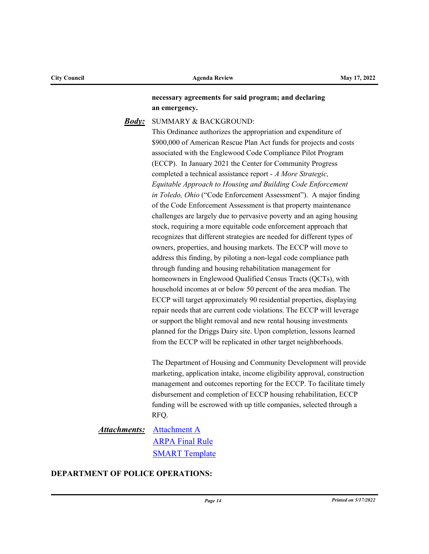# **necessary agreements for said program; and declaring an emergency.**

# SUMMARY & BACKGROUND: *Body:*

This Ordinance authorizes the appropriation and expenditure of \$900,000 of American Rescue Plan Act funds for projects and costs associated with the Englewood Code Compliance Pilot Program (ECCP). In January 2021 the Center for Community Progress completed a technical assistance report - *A More Strategic, Equitable Approach to Housing and Building Code Enforcement in Toledo, Ohio* ("Code Enforcement Assessment"). A major finding of the Code Enforcement Assessment is that property maintenance challenges are largely due to pervasive poverty and an aging housing stock, requiring a more equitable code enforcement approach that recognizes that different strategies are needed for different types of owners, properties, and housing markets. The ECCP will move to address this finding, by piloting a non-legal code compliance path through funding and housing rehabilitation management for homeowners in Englewood Qualified Census Tracts (QCTs), with household incomes at or below 50 percent of the area median. The ECCP will target approximately 90 residential properties, displaying repair needs that are current code violations. The ECCP will leverage or support the blight removal and new rental housing investments planned for the Driggs Dairy site. Upon completion, lessons learned from the ECCP will be replicated in other target neighborhoods.

The Department of Housing and Community Development will provide marketing, application intake, income eligibility approval, construction management and outcomes reporting for the ECCP. To facilitate timely disbursement and completion of ECCP housing rehabilitation, ECCP funding will be escrowed with up title companies, selected through a RFQ.

# **Attachments:** [Attachment A](http://toledo.legistar.com/gateway.aspx?M=F&ID=e82db135-46d1-4046-9218-59fdc0fc87b2.docx) [ARPA Final Rule](http://toledo.legistar.com/gateway.aspx?M=F&ID=b3ec159f-1f60-497c-8d07-b9ce91bc8c2f.pdf) **[SMART Template](http://toledo.legistar.com/gateway.aspx?M=F&ID=529a36ef-10ac-4c48-b3e6-a1a753887c17.pdf)**

# **DEPARTMENT OF POLICE OPERATIONS:**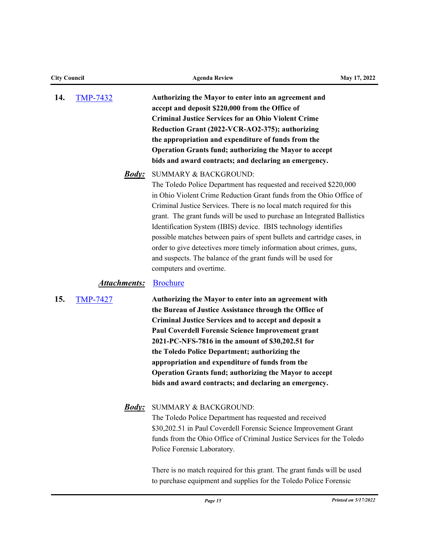| <b>City Council</b> |                     | <b>Agenda Review</b><br>May 17, 2022                                                                                                                                                                                                                                                                                                                                                                                                                                                                                                                                                                                                    |  |
|---------------------|---------------------|-----------------------------------------------------------------------------------------------------------------------------------------------------------------------------------------------------------------------------------------------------------------------------------------------------------------------------------------------------------------------------------------------------------------------------------------------------------------------------------------------------------------------------------------------------------------------------------------------------------------------------------------|--|
| 14.                 | <b>TMP-7432</b>     | Authorizing the Mayor to enter into an agreement and<br>accept and deposit \$220,000 from the Office of<br><b>Criminal Justice Services for an Ohio Violent Crime</b><br>Reduction Grant (2022-VCR-AO2-375); authorizing<br>the appropriation and expenditure of funds from the<br>Operation Grants fund; authorizing the Mayor to accept<br>bids and award contracts; and declaring an emergency.                                                                                                                                                                                                                                      |  |
|                     | <u><i>Body:</i></u> | SUMMARY & BACKGROUND:<br>The Toledo Police Department has requested and received \$220,000<br>in Ohio Violent Crime Reduction Grant funds from the Ohio Office of<br>Criminal Justice Services. There is no local match required for this<br>grant. The grant funds will be used to purchase an Integrated Ballistics<br>Identification System (IBIS) device. IBIS technology identifies<br>possible matches between pairs of spent bullets and cartridge cases, in<br>order to give detectives more timely information about crimes, guns,<br>and suspects. The balance of the grant funds will be used for<br>computers and overtime. |  |
|                     | <b>Attachments:</b> | <b>Brochure</b>                                                                                                                                                                                                                                                                                                                                                                                                                                                                                                                                                                                                                         |  |
| 15.                 | <b>TMP-7427</b>     | Authorizing the Mayor to enter into an agreement with<br>the Bureau of Justice Assistance through the Office of<br>Criminal Justice Services and to accept and deposit a<br><b>Paul Coverdell Forensic Science Improvement grant</b><br>2021-PC-NFS-7816 in the amount of \$30,202.51 for<br>the Toledo Police Department; authorizing the<br>appropriation and expenditure of funds from the<br>Operation Grants fund; authorizing the Mayor to accept<br>bids and award contracts; and declaring an emergency.                                                                                                                        |  |
|                     | <b>Body:</b>        | <b>SUMMARY &amp; BACKGROUND:</b><br>The Toledo Police Department has requested and received<br>\$30,202.51 in Paul Coverdell Forensic Science Improvement Grant<br>funds from the Ohio Office of Criminal Justice Services for the Toledo<br>Police Forensic Laboratory.                                                                                                                                                                                                                                                                                                                                                                |  |
|                     |                     | There is no match required for this grant. The grant funds will be used<br>to purchase equipment and supplies for the Toledo Police Forensic                                                                                                                                                                                                                                                                                                                                                                                                                                                                                            |  |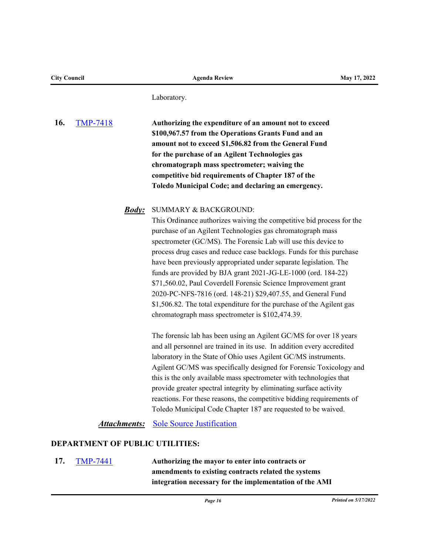Laboratory.

**16.** [TMP-7418](http://toledo.legistar.com/gateway.aspx?m=l&id=/matter.aspx?key=37731) **Authorizing the expenditure of an amount not to exceed \$100,967.57 from the Operations Grants Fund and an amount not to exceed \$1,506.82 from the General Fund for the purchase of an Agilent Technologies gas chromatograph mass spectrometer; waiving the competitive bid requirements of Chapter 187 of the Toledo Municipal Code; and declaring an emergency.**

SUMMARY & BACKGROUND: *Body:*

This Ordinance authorizes waiving the competitive bid process for the purchase of an Agilent Technologies gas chromatograph mass spectrometer (GC/MS). The Forensic Lab will use this device to process drug cases and reduce case backlogs. Funds for this purchase have been previously appropriated under separate legislation. The funds are provided by BJA grant 2021-JG-LE-1000 (ord. 184-22) \$71,560.02, Paul Coverdell Forensic Science Improvement grant 2020-PC-NFS-7816 (ord. 148-21) \$29,407.55, and General Fund \$1,506.82. The total expenditure for the purchase of the Agilent gas chromatograph mass spectrometer is \$102,474.39.

The forensic lab has been using an Agilent GC/MS for over 18 years and all personnel are trained in its use. In addition every accredited laboratory in the State of Ohio uses Agilent GC/MS instruments. Agilent GC/MS was specifically designed for Forensic Toxicology and this is the only available mass spectrometer with technologies that provide greater spectral integrity by eliminating surface activity reactions. For these reasons, the competitive bidding requirements of Toledo Municipal Code Chapter 187 are requested to be waived.

# **Attachments:** [Sole Source Justification](http://toledo.legistar.com/gateway.aspx?M=F&ID=a17102b5-18a2-4e5d-ae8f-cbad4eb46237.pdf)

#### **DEPARTMENT OF PUBLIC UTILITIES:**

**17.** [TMP-7441](http://toledo.legistar.com/gateway.aspx?m=l&id=/matter.aspx?key=37760) **Authorizing the mayor to enter into contracts or amendments to existing contracts related the systems integration necessary for the implementation of the AMI**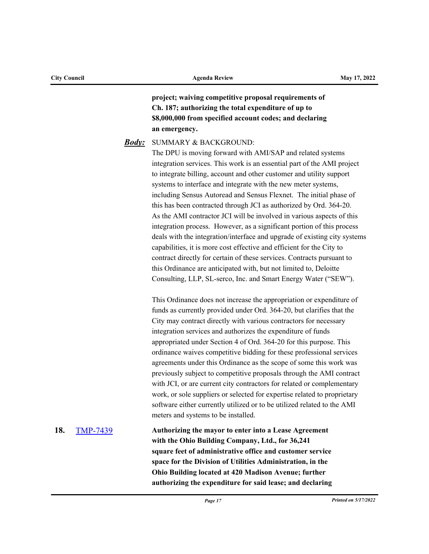**project; waiving competitive proposal requirements of Ch. 187; authorizing the total expenditure of up to \$8,000,000 from specified account codes; and declaring an emergency.** 

#### SUMMARY & BACKGROUND: *Body:*

The DPU is moving forward with AMI/SAP and related systems integration services. This work is an essential part of the AMI project to integrate billing, account and other customer and utility support systems to interface and integrate with the new meter systems, including Sensus Autoread and Sensus Flexnet. The initial phase of this has been contracted through JCI as authorized by Ord. 364-20. As the AMI contractor JCI will be involved in various aspects of this integration process. However, as a significant portion of this process deals with the integration/interface and upgrade of existing city systems capabilities, it is more cost effective and efficient for the City to contract directly for certain of these services. Contracts pursuant to this Ordinance are anticipated with, but not limited to, Deloitte Consulting, LLP, SL-serco, Inc. and Smart Energy Water ("SEW").

This Ordinance does not increase the appropriation or expenditure of funds as currently provided under Ord. 364-20, but clarifies that the City may contract directly with various contractors for necessary integration services and authorizes the expenditure of funds appropriated under Section 4 of Ord. 364-20 for this purpose. This ordinance waives competitive bidding for these professional services agreements under this Ordinance as the scope of some this work was previously subject to competitive proposals through the AMI contract with JCI, or are current city contractors for related or complementary work, or sole suppliers or selected for expertise related to proprietary software either currently utilized or to be utilized related to the AMI meters and systems to be installed.

**18.** [TMP-7439](http://toledo.legistar.com/gateway.aspx?m=l&id=/matter.aspx?key=37758) **Authorizing the mayor to enter into a Lease Agreement with the Ohio Building Company, Ltd., for 36,241 square feet of administrative office and customer service space for the Division of Utilities Administration, in the Ohio Building located at 420 Madison Avenue; further authorizing the expenditure for said lease; and declaring**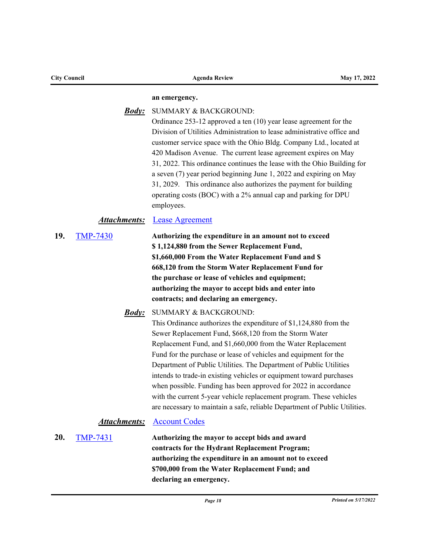| <b>City Council</b> |                                        | <b>Agenda Review</b>                                                                                                                                                                                                                                                                                                                                                                                                                                                                                                                                                                                                                                                                                                                                                                                                                                                                                                                                                                                                                    | May 17, 2022 |
|---------------------|----------------------------------------|-----------------------------------------------------------------------------------------------------------------------------------------------------------------------------------------------------------------------------------------------------------------------------------------------------------------------------------------------------------------------------------------------------------------------------------------------------------------------------------------------------------------------------------------------------------------------------------------------------------------------------------------------------------------------------------------------------------------------------------------------------------------------------------------------------------------------------------------------------------------------------------------------------------------------------------------------------------------------------------------------------------------------------------------|--------------|
|                     |                                        | an emergency.                                                                                                                                                                                                                                                                                                                                                                                                                                                                                                                                                                                                                                                                                                                                                                                                                                                                                                                                                                                                                           |              |
|                     | <b>Body</b> :                          | SUMMARY & BACKGROUND:<br>Ordinance $253-12$ approved a ten $(10)$ year lease agreement for the<br>Division of Utilities Administration to lease administrative office and<br>customer service space with the Ohio Bldg. Company Ltd., located at<br>420 Madison Avenue. The current lease agreement expires on May<br>31, 2022. This ordinance continues the lease with the Ohio Building for<br>a seven (7) year period beginning June 1, 2022 and expiring on May<br>31, 2029. This ordinance also authorizes the payment for building<br>operating costs (BOC) with a 2% annual cap and parking for DPU<br>employees.                                                                                                                                                                                                                                                                                                                                                                                                                |              |
|                     | <b>Attachments:</b>                    | <b>Lease Agreement</b>                                                                                                                                                                                                                                                                                                                                                                                                                                                                                                                                                                                                                                                                                                                                                                                                                                                                                                                                                                                                                  |              |
| 19.                 | <b>TMP-7430</b><br><u><b>Body:</b></u> | Authorizing the expenditure in an amount not to exceed<br>\$1,124,880 from the Sewer Replacement Fund,<br>\$1,660,000 From the Water Replacement Fund and \$<br>668,120 from the Storm Water Replacement Fund for<br>the purchase or lease of vehicles and equipment;<br>authorizing the mayor to accept bids and enter into<br>contracts; and declaring an emergency.<br>SUMMARY & BACKGROUND:<br>This Ordinance authorizes the expenditure of \$1,124,880 from the<br>Sewer Replacement Fund, \$668,120 from the Storm Water<br>Replacement Fund, and \$1,660,000 from the Water Replacement<br>Fund for the purchase or lease of vehicles and equipment for the<br>Department of Public Utilities. The Department of Public Utilities<br>intends to trade-in existing vehicles or equipment toward purchases<br>when possible. Funding has been approved for 2022 in accordance<br>with the current 5-year vehicle replacement program. These vehicles<br>are necessary to maintain a safe, reliable Department of Public Utilities. |              |
|                     | <b>Attachments:</b>                    | <b>Account Codes</b>                                                                                                                                                                                                                                                                                                                                                                                                                                                                                                                                                                                                                                                                                                                                                                                                                                                                                                                                                                                                                    |              |
| 20.                 | <b>TMP-7431</b>                        | Authorizing the mayor to accept bids and award<br>contracts for the Hydrant Replacement Program;<br>authorizing the expenditure in an amount not to exceed<br>\$700,000 from the Water Replacement Fund; and<br>declaring an emergency.                                                                                                                                                                                                                                                                                                                                                                                                                                                                                                                                                                                                                                                                                                                                                                                                 |              |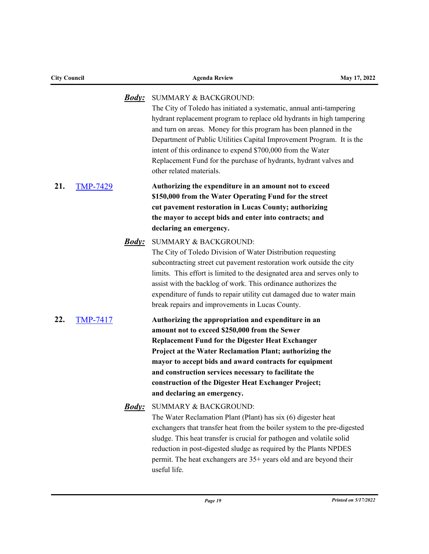| <b>City Council</b> |                 |                     | <b>Agenda Review</b>                                                                                                                                                                                                                                                                                                                                                                                                                                                                            | May 17, 2022 |  |
|---------------------|-----------------|---------------------|-------------------------------------------------------------------------------------------------------------------------------------------------------------------------------------------------------------------------------------------------------------------------------------------------------------------------------------------------------------------------------------------------------------------------------------------------------------------------------------------------|--------------|--|
|                     |                 | <u><i>Body:</i></u> | <b>SUMMARY &amp; BACKGROUND:</b><br>The City of Toledo has initiated a systematic, annual anti-tampering<br>hydrant replacement program to replace old hydrants in high tampering<br>and turn on areas. Money for this program has been planned in the<br>Department of Public Utilities Capital Improvement Program. It is the<br>intent of this ordinance to expend \$700,000 from the Water<br>Replacement Fund for the purchase of hydrants, hydrant valves and<br>other related materials. |              |  |
| 21.                 | <b>TMP-7429</b> |                     | Authorizing the expenditure in an amount not to exceed<br>\$150,000 from the Water Operating Fund for the street<br>cut pavement restoration in Lucas County; authorizing<br>the mayor to accept bids and enter into contracts; and<br>declaring an emergency.                                                                                                                                                                                                                                  |              |  |
|                     |                 | <u>Body:</u>        | <b>SUMMARY &amp; BACKGROUND:</b><br>The City of Toledo Division of Water Distribution requesting<br>subcontracting street cut pavement restoration work outside the city<br>limits. This effort is limited to the designated area and serves only to<br>assist with the backlog of work. This ordinance authorizes the<br>expenditure of funds to repair utility cut damaged due to water main<br>break repairs and improvements in Lucas County.                                               |              |  |
| 22.                 | <b>TMP-7417</b> |                     | Authorizing the appropriation and expenditure in an<br>amount not to exceed \$250,000 from the Sewer<br><b>Replacement Fund for the Digester Heat Exchanger</b><br>Project at the Water Reclamation Plant; authorizing the<br>mayor to accept bids and award contracts for equipment<br>and construction services necessary to facilitate the<br>construction of the Digester Heat Exchanger Project;<br>and declaring an emergency.                                                            |              |  |
|                     |                 | <u>Body:</u>        | <b>SUMMARY &amp; BACKGROUND:</b><br>The Water Reclamation Plant (Plant) has six (6) digester heat<br>exchangers that transfer heat from the boiler system to the pre-digested<br>sludge. This heat transfer is crucial for pathogen and volatile solid<br>reduction in post-digested sludge as required by the Plants NPDES<br>permit. The heat exchangers are 35+ years old and are beyond their<br>useful life.                                                                               |              |  |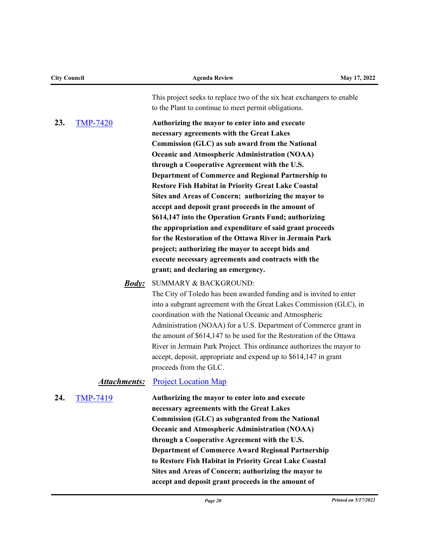| <b>City Council</b> |                     | <b>Agenda Review</b>                                                                                                                                                                                                                                                                                                                                                                                                                                                                                                                                                                                                                                                                                                                                                                                                         | May 17, 2022 |
|---------------------|---------------------|------------------------------------------------------------------------------------------------------------------------------------------------------------------------------------------------------------------------------------------------------------------------------------------------------------------------------------------------------------------------------------------------------------------------------------------------------------------------------------------------------------------------------------------------------------------------------------------------------------------------------------------------------------------------------------------------------------------------------------------------------------------------------------------------------------------------------|--------------|
|                     |                     | This project seeks to replace two of the six heat exchangers to enable<br>to the Plant to continue to meet permit obligations.                                                                                                                                                                                                                                                                                                                                                                                                                                                                                                                                                                                                                                                                                               |              |
| 23.                 | <b>TMP-7420</b>     | Authorizing the mayor to enter into and execute<br>necessary agreements with the Great Lakes<br>Commission (GLC) as sub award from the National<br><b>Oceanic and Atmospheric Administration (NOAA)</b><br>through a Cooperative Agreement with the U.S.<br>Department of Commerce and Regional Partnership to<br><b>Restore Fish Habitat in Priority Great Lake Coastal</b><br>Sites and Areas of Concern; authorizing the mayor to<br>accept and deposit grant proceeds in the amount of<br>\$614,147 into the Operation Grants Fund; authorizing<br>the appropriation and expenditure of said grant proceeds<br>for the Restoration of the Ottawa River in Jermain Park<br>project; authorizing the mayor to accept bids and<br>execute necessary agreements and contracts with the<br>grant; and declaring an emergency. |              |
|                     | <u><b>Body:</b></u> | <b>SUMMARY &amp; BACKGROUND:</b><br>The City of Toledo has been awarded funding and is invited to enter<br>into a subgrant agreement with the Great Lakes Commission (GLC), in<br>coordination with the National Oceanic and Atmospheric<br>Administration (NOAA) for a U.S. Department of Commerce grant in<br>the amount of \$614,147 to be used for the Restoration of the Ottawa<br>River in Jermain Park Project. This ordinance authorizes the mayor to<br>accept, deposit, appropriate and expend up to \$614,147 in grant<br>proceeds from the GLC.                                                                                                                                                                                                                                                                  |              |
|                     | <u>Attachments:</u> | <b>Project Location Map</b>                                                                                                                                                                                                                                                                                                                                                                                                                                                                                                                                                                                                                                                                                                                                                                                                  |              |
| 24.                 | <b>TMP-7419</b>     | Authorizing the mayor to enter into and execute<br>necessary agreements with the Great Lakes<br>Commission (GLC) as subgranted from the National<br><b>Oceanic and Atmospheric Administration (NOAA)</b><br>through a Cooperative Agreement with the U.S.<br><b>Department of Commerce Award Regional Partnership</b><br>to Restore Fish Habitat in Priority Great Lake Coastal<br>Sites and Areas of Concern; authorizing the mayor to<br>accept and deposit grant proceeds in the amount of                                                                                                                                                                                                                                                                                                                                |              |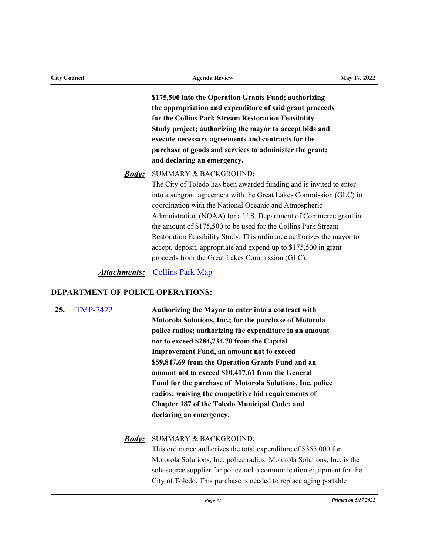| <b>City Council</b> |              | <b>Agenda Review</b>                                                                                                                                                                                                                                                                                                                                                                                                                                                                                                                                                          | May 17, 2022 |
|---------------------|--------------|-------------------------------------------------------------------------------------------------------------------------------------------------------------------------------------------------------------------------------------------------------------------------------------------------------------------------------------------------------------------------------------------------------------------------------------------------------------------------------------------------------------------------------------------------------------------------------|--------------|
|                     |              | \$175,500 into the Operation Grants Fund; authorizing<br>the appropriation and expenditure of said grant proceeds<br>for the Collins Park Stream Restoration Feasibility<br>Study project; authorizing the mayor to accept bids and<br>execute necessary agreements and contracts for the<br>purchase of goods and services to administer the grant;<br>and declaring an emergency.                                                                                                                                                                                           |              |
|                     | <u>Body:</u> | <b>SUMMARY &amp; BACKGROUND:</b><br>The City of Toledo has been awarded funding and is invited to enter<br>into a subgrant agreement with the Great Lakes Commission (GLC) in<br>coordination with the National Oceanic and Atmospheric<br>Administration (NOAA) for a U.S. Department of Commerce grant in<br>the amount of \$175,500 to be used for the Collins Park Stream<br>Restoration Feasibility Study. This ordinance authorizes the mayor to<br>accept, deposit, appropriate and expend up to \$175,500 in grant<br>proceeds from the Great Lakes Commission (GLC). |              |
|                     | Attachments: | <b>Collins Park Map</b>                                                                                                                                                                                                                                                                                                                                                                                                                                                                                                                                                       |              |

# **DEPARTMENT OF POLICE OPERATIONS:**

**25.** [TMP-7422](http://toledo.legistar.com/gateway.aspx?m=l&id=/matter.aspx?key=37735) **Authorizing the Mayor to enter into a contract with Motorola Solutions, Inc.; for the purchase of Motorola police radios; authorizing the expenditure in an amount not to exceed \$284,734.70 from the Capital Improvement Fund, an amount not to exceed \$59,847.69 from the Operation Grants Fund and an amount not to exceed \$10,417.61 from the General Fund for the purchase of Motorola Solutions, Inc. police radios; waiving the competitive bid requirements of Chapter 187 of the Toledo Municipal Code; and declaring an emergency.**

# SUMMARY & BACKGROUND: *Body:*

This ordinance authorizes the total expenditure of \$355,000 for Motorola Solutions, Inc. police radios. Motorola Solutions, Inc. is the sole source supplier for police radio communication equipment for the City of Toledo. This purchase is needed to replace aging portable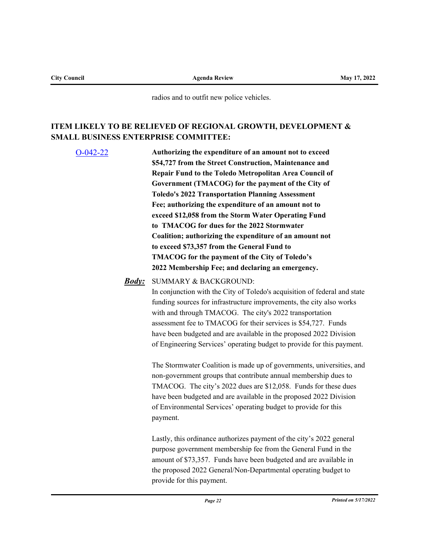radios and to outfit new police vehicles.

# **ITEM LIKELY TO BE RELIEVED OF REGIONAL GROWTH, DEVELOPMENT & SMALL BUSINESS ENTERPRISE COMMITTEE:**

[O-042-22](http://toledo.legistar.com/gateway.aspx?m=l&id=/matter.aspx?key=37246) **Authorizing the expenditure of an amount not to exceed \$54,727 from the Street Construction, Maintenance and Repair Fund to the Toledo Metropolitan Area Council of Government (TMACOG) for the payment of the City of Toledo's 2022 Transportation Planning Assessment Fee; authorizing the expenditure of an amount not to exceed \$12,058 from the Storm Water Operating Fund to TMACOG for dues for the 2022 Stormwater Coalition; authorizing the expenditure of an amount not to exceed \$73,357 from the General Fund to TMACOG for the payment of the City of Toledo's 2022 Membership Fee; and declaring an emergency.** SUMMARY & BACKGROUND: *Body:*

In conjunction with the City of Toledo's acquisition of federal and state funding sources for infrastructure improvements, the city also works with and through TMACOG. The city's 2022 transportation assessment fee to TMACOG for their services is \$54,727. Funds have been budgeted and are available in the proposed 2022 Division of Engineering Services' operating budget to provide for this payment.

The Stormwater Coalition is made up of governments, universities, and non-government groups that contribute annual membership dues to TMACOG. The city's 2022 dues are \$12,058. Funds for these dues have been budgeted and are available in the proposed 2022 Division of Environmental Services' operating budget to provide for this payment.

Lastly, this ordinance authorizes payment of the city's 2022 general purpose government membership fee from the General Fund in the amount of \$73,357. Funds have been budgeted and are available in the proposed 2022 General/Non-Departmental operating budget to provide for this payment.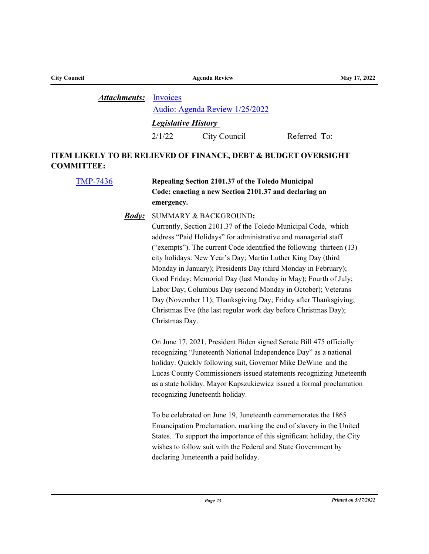| <b>City Council</b> |              | <b>May 17, 2022</b>        |                                |              |
|---------------------|--------------|----------------------------|--------------------------------|--------------|
|                     | Attachments: | Invoices                   |                                |              |
|                     |              |                            | Audio: Agenda Review 1/25/2022 |              |
|                     |              | <b>Legislative History</b> |                                |              |
|                     |              | 2/1/22                     | City Council                   | Referred To: |

# **ITEM LIKELY TO BE RELIEVED OF FINANCE, DEBT & BUDGET OVERSIGHT COMMITTEE:**

| <b>TMP-7436</b> |              | Repealing Section 2101.37 of the Toledo Municipal<br>Code; enacting a new Section 2101.37 and declaring an<br>emergency.                                                                                                                                                                                                                                                                                                                                                                                                                                                                                                                                        |  |  |
|-----------------|--------------|-----------------------------------------------------------------------------------------------------------------------------------------------------------------------------------------------------------------------------------------------------------------------------------------------------------------------------------------------------------------------------------------------------------------------------------------------------------------------------------------------------------------------------------------------------------------------------------------------------------------------------------------------------------------|--|--|
|                 | <u>Body:</u> | SUMMARY & BACKGROUND:<br>Currently, Section 2101.37 of the Toledo Municipal Code, which<br>address "Paid Holidays" for administrative and managerial staff<br>("exempts"). The current Code identified the following thirteen (13)<br>city holidays: New Year's Day; Martin Luther King Day (third<br>Monday in January); Presidents Day (third Monday in February);<br>Good Friday; Memorial Day (last Monday in May); Fourth of July;<br>Labor Day; Columbus Day (second Monday in October); Veterans<br>Day (November 11); Thanksgiving Day; Friday after Thanksgiving;<br>Christmas Eve (the last regular work day before Christmas Day);<br>Christmas Day. |  |  |
|                 |              | On June 17, 2021, President Biden signed Senate Bill 475 officially<br>recognizing "Juneteenth National Independence Day" as a national<br>holiday. Quickly following suit, Governor Mike DeWine and the<br>Lucas County Commissioners issued statements recognizing Juneteenth<br>as a state holiday. Mayor Kapszukiewicz issued a formal proclamation<br>recognizing Juneteenth holiday.                                                                                                                                                                                                                                                                      |  |  |
|                 |              | To be celebrated on June 19, Juneteenth commemorates the 1865<br>Emancipation Proclamation, marking the end of slavery in the United<br>States. To support the importance of this significant holiday, the City<br>wishes to follow suit with the Federal and State Government by<br>declaring Juneteenth a paid holiday.                                                                                                                                                                                                                                                                                                                                       |  |  |